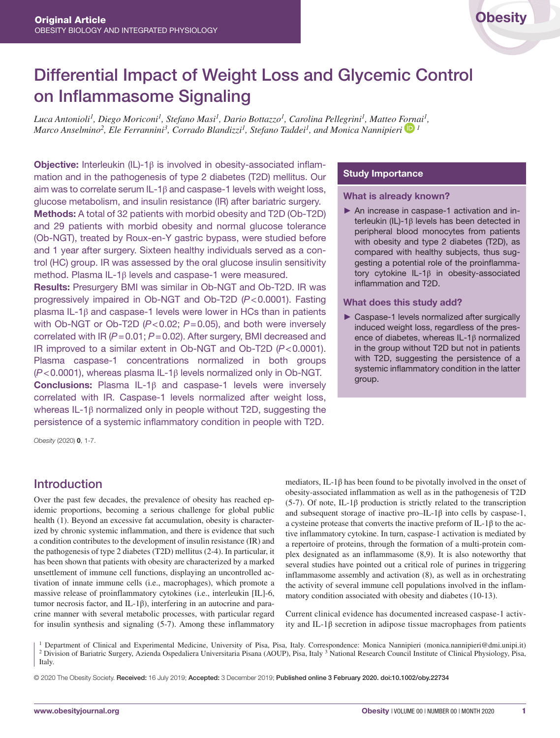# Differential Impact of Weight Loss and Glycemic Control on Inflammasome Signaling

*Luca Antonioli1, Diego Moriconi1, Stefano Masi1, Dario Bottazzo1, Carolina Pellegrini1, Matteo [Forna](https://orcid.org/0000-0003-1346-2813)i1, Marco Anselmino<sup>2</sup>, Ele Ferrannini<sup>3</sup>, Corrado Blandizzi<sup>1</sup>, Stefano Taddei<sup>1</sup>, and Monica Nannipieri* <sup>1</sup>

Objective: Interleukin (IL)-1β is involved in obesity-associated inflammation and in the pathogenesis of type 2 diabetes (T2D) mellitus. Our aim was to correlate serum IL-1β and caspase-1 levels with weight loss, glucose metabolism, and insulin resistance (IR) after bariatric surgery. Methods: A total of 32 patients with morbid obesity and T2D (Ob-T2D) and 29 patients with morbid obesity and normal glucose tolerance (Ob-NGT), treated by Roux-en-Y gastric bypass, were studied before and 1 year after surgery. Sixteen healthy individuals served as a control (HC) group. IR was assessed by the oral glucose insulin sensitivity method. Plasma IL-1β levels and caspase-1 were measured.

Results: Presurgery BMI was similar in Ob-NGT and Ob-T2D. IR was progressively impaired in Ob-NGT and Ob-T2D (*P*<0.0001). Fasting plasma IL-1β and caspase-1 levels were lower in HCs than in patients with Ob-NGT or Ob-T2D (*P*<0.02; *P*=0.05), and both were inversely correlated with IR (*P*=0.01; *P*=0.02). After surgery, BMI decreased and IR improved to a similar extent in Ob-NGT and Ob-T2D (*P*<0.0001). Plasma caspase-1 concentrations normalized in both groups (*P*<0.0001), whereas plasma IL-1β levels normalized only in Ob-NGT. Conclusions: Plasma IL-1β and caspase-1 levels were inversely correlated with IR. Caspase-1 levels normalized after weight loss, whereas IL-1β normalized only in people without T2D, suggesting the persistence of a systemic inflammatory condition in people with T2D.

#### Study Importance

#### What is already known?

► An increase in caspase-1 activation and interleukin (IL)-1β levels has been detected in peripheral blood monocytes from patients with obesity and type 2 diabetes (T2D), as compared with healthy subjects, thus suggesting a potential role of the proinflammatory cytokine IL-1β in obesity-associated inflammation and T2D.

#### What does this study add?

► Caspase-1 levels normalized after surgically induced weight loss, regardless of the presence of diabetes, whereas IL-1β normalized in the group without T2D but not in patients with T2D, suggesting the persistence of a systemic inflammatory condition in the latter group.

*Obesity* (2020) 0, 1-7.

## Introduction

Over the past few decades, the prevalence of obesity has reached epidemic proportions, becoming a serious challenge for global public health (1). Beyond an excessive fat accumulation, obesity is characterized by chronic systemic inflammation, and there is evidence that such a condition contributes to the development of insulin resistance (IR) and the pathogenesis of type 2 diabetes (T2D) mellitus (2-4). In particular, it has been shown that patients with obesity are characterized by a marked unsettlement of immune cell functions, displaying an uncontrolled activation of innate immune cells (i.e., macrophages), which promote a massive release of proinflammatory cytokines (i.e., interleukin [IL]-6, tumor necrosis factor, and IL-1β), interfering in an autocrine and paracrine manner with several metabolic processes, with particular regard for insulin synthesis and signaling (5-7). Among these inflammatory mediators, IL-1β has been found to be pivotally involved in the onset of obesity-associated inflammation as well as in the pathogenesis of T2D (5-7). Of note, IL-1β production is strictly related to the transcription and subsequent storage of inactive pro–IL-1 $\beta$  into cells by caspase-1, a cysteine protease that converts the inactive preform of IL-1β to the active inflammatory cytokine. In turn, caspase-1 activation is mediated by a repertoire of proteins, through the formation of a multi-protein complex designated as an inflammasome (8,9). It is also noteworthy that several studies have pointed out a critical role of purines in triggering inflammasome assembly and activation (8), as well as in orchestrating the activity of several immune cell populations involved in the inflammatory condition associated with obesity and diabetes (10-13).

Current clinical evidence has documented increased caspase-1 activity and IL-1β secretion in adipose tissue macrophages from patients

1 Department of Clinical and Experimental Medicine, University of Pisa, Pisa, Italy. Correspondence: Monica Nannipieri ([monica.nannipieri@dmi.unipi.it](mailto:monica.nannipieri@dmi.unipi.it)) <sup>2</sup> Division of Bariatric Surgery, Azienda Ospedaliera Universitaria Pisana (AOUP), Pisa, Italy <sup>3</sup> National Research Council Institute of Clinical Physiology, Pisa, Italy.

© 2020 The Obesity Society. Received: 16 July 2019; Accepted: 3 December 2019; Published online 3 February 2020. doi:10.1002/oby.22734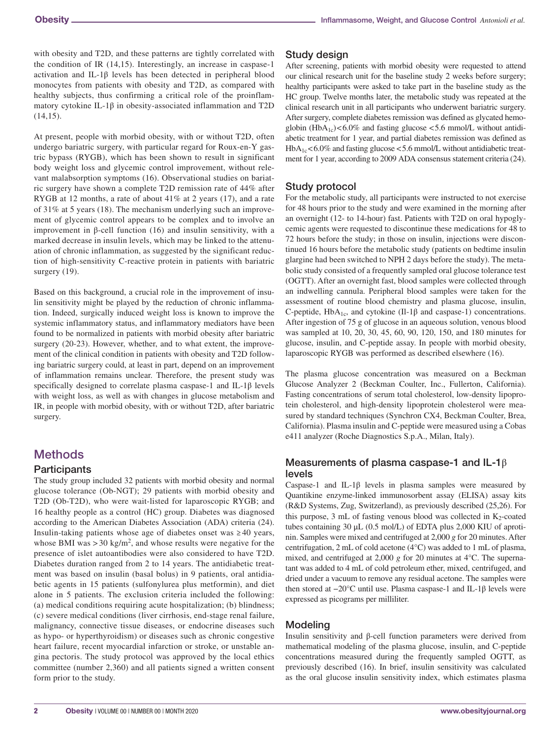with obesity and T2D, and these patterns are tightly correlated with the condition of IR (14,15). Interestingly, an increase in caspase-1 activation and IL-1β levels has been detected in peripheral blood monocytes from patients with obesity and T2D, as compared with healthy subjects, thus confirming a critical role of the proinflammatory cytokine IL-1β in obesity-associated inflammation and T2D  $(14,15)$ .

At present, people with morbid obesity, with or without T2D, often undergo bariatric surgery, with particular regard for Roux-en-Y gastric bypass (RYGB), which has been shown to result in significant body weight loss and glycemic control improvement, without relevant malabsorption symptoms (16). Observational studies on bariatric surgery have shown a complete T2D remission rate of 44% after RYGB at 12 months, a rate of about 41% at 2 years (17), and a rate of 31% at 5 years (18). The mechanism underlying such an improvement of glycemic control appears to be complex and to involve an improvement in β-cell function (16) and insulin sensitivity, with a marked decrease in insulin levels, which may be linked to the attenuation of chronic inflammation, as suggested by the significant reduction of high-sensitivity C-reactive protein in patients with bariatric surgery  $(19)$ .

Based on this background, a crucial role in the improvement of insulin sensitivity might be played by the reduction of chronic inflammation. Indeed, surgically induced weight loss is known to improve the systemic inflammatory status, and inflammatory mediators have been found to be normalized in patients with morbid obesity after bariatric surgery (20-23). However, whether, and to what extent, the improvement of the clinical condition in patients with obesity and T2D following bariatric surgery could, at least in part, depend on an improvement of inflammation remains unclear. Therefore, the present study was specifically designed to correlate plasma caspase-1 and IL-1β levels with weight loss, as well as with changes in glucose metabolism and IR, in people with morbid obesity, with or without T2D, after bariatric surgery.

# **Methods**

#### **Participants**

The study group included 32 patients with morbid obesity and normal glucose tolerance (Ob-NGT); 29 patients with morbid obesity and T2D (Ob-T2D), who were wait-listed for laparoscopic RYGB; and 16 healthy people as a control (HC) group. Diabetes was diagnosed according to the American Diabetes Association (ADA) criteria (24). Insulin-taking patients whose age of diabetes onset was ≥ 40 years, whose BMI was  $> 30 \text{ kg/m}^2$ , and whose results were negative for the presence of islet autoantibodies were also considered to have T2D. Diabetes duration ranged from 2 to 14 years. The antidiabetic treatment was based on insulin (basal bolus) in 9 patients, oral antidiabetic agents in 15 patients (sulfonylurea plus metformin), and diet alone in 5 patients. The exclusion criteria included the following: (a) medical conditions requiring acute hospitalization; (b) blindness; (c) severe medical conditions (liver cirrhosis, end-stage renal failure, malignancy, connective tissue diseases, or endocrine diseases such as hypo- or hyperthyroidism) or diseases such as chronic congestive heart failure, recent myocardial infarction or stroke, or unstable angina pectoris. The study protocol was approved by the local ethics committee (number 2,360) and all patients signed a written consent form prior to the study.

## Study design

After screening, patients with morbid obesity were requested to attend our clinical research unit for the baseline study 2 weeks before surgery; healthy participants were asked to take part in the baseline study as the HC group. Twelve months later, the metabolic study was repeated at the clinical research unit in all participants who underwent bariatric surgery. After surgery, complete diabetes remission was defined as glycated hemoglobin (HbA<sub>1c</sub>)<6.0% and fasting glucose <5.6 mmol/L without antidiabetic treatment for 1 year, and partial diabetes remission was defined as  $HbA_{1c} < 6.0\%$  and fasting glucose  $< 5.6$  mmol/L without antidiabetic treatment for 1 year, according to 2009 ADA consensus statement criteria (24).

## Study protocol

For the metabolic study, all participants were instructed to not exercise for 48 hours prior to the study and were examined in the morning after an overnight (12- to 14-hour) fast. Patients with T2D on oral hypoglycemic agents were requested to discontinue these medications for 48 to 72 hours before the study; in those on insulin, injections were discontinued 16 hours before the metabolic study (patients on bedtime insulin glargine had been switched to NPH 2 days before the study). The metabolic study consisted of a frequently sampled oral glucose tolerance test (OGTT). After an overnight fast, blood samples were collected through an indwelling cannula. Peripheral blood samples were taken for the assessment of routine blood chemistry and plasma glucose, insulin, C-peptide,  $HbA_{1c}$ , and cytokine (Il-1 $\beta$  and caspase-1) concentrations. After ingestion of 75 g of glucose in an aqueous solution, venous blood was sampled at 10, 20, 30, 45, 60, 90, 120, 150, and 180 minutes for glucose, insulin, and C-peptide assay. In people with morbid obesity, laparoscopic RYGB was performed as described elsewhere (16).

The plasma glucose concentration was measured on a Beckman Glucose Analyzer 2 (Beckman Coulter, Inc., Fullerton, California). Fasting concentrations of serum total cholesterol, low-density lipoprotein cholesterol, and high-density lipoprotein cholesterol were measured by standard techniques (Synchron CX4, Beckman Coulter, Brea, California). Plasma insulin and C-peptide were measured using a Cobas e411 analyzer (Roche Diagnostics S.p.A., Milan, Italy).

## Measurements of plasma caspase-1 and IL-1 $\beta$ levels

Caspase-1 and IL-1 $\beta$  levels in plasma samples were measured by Quantikine enzyme-linked immunosorbent assay (ELISA) assay kits (R&D Systems, Zug, Switzerland), as previously described (25,26). For this purpose,  $3 \text{ mL}$  of fasting venous blood was collected in K<sub>2</sub>-coated tubes containing 30 μL (0.5 mol/L) of EDTA plus 2,000 KIU of aprotinin. Samples were mixed and centrifuged at 2,000 *g* for 20 minutes. After centrifugation, 2 mL of cold acetone (4°C) was added to 1 mL of plasma, mixed, and centrifuged at 2,000 *g* for 20 minutes at 4°C. The supernatant was added to 4 mL of cold petroleum ether, mixed, centrifuged, and dried under a vacuum to remove any residual acetone. The samples were then stored at −20°C until use. Plasma caspase-1 and IL-1β levels were expressed as picograms per milliliter.

## Modeling

Insulin sensitivity and β-cell function parameters were derived from mathematical modeling of the plasma glucose, insulin, and C-peptide concentrations measured during the frequently sampled OGTT, as previously described (16). In brief, insulin sensitivity was calculated as the oral glucose insulin sensitivity index, which estimates plasma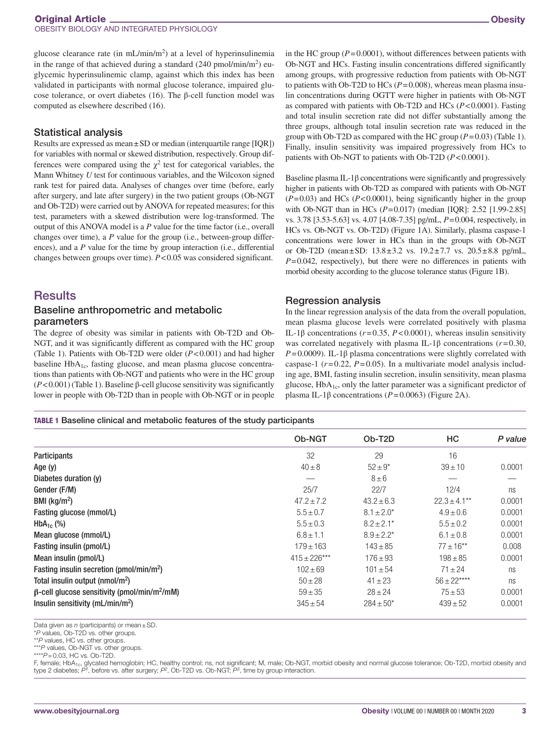glucose clearance rate (in  $mL/min/m<sup>2</sup>$ ) at a level of hyperinsulinemia in the range of that achieved during a standard (240 pmol/min/m<sup>2</sup>) euglycemic hyperinsulinemic clamp, against which this index has been validated in participants with normal glucose tolerance, impaired glucose tolerance, or overt diabetes (16). The β-cell function model was computed as elsewhere described (16).

#### Statistical analysis

Results are expressed as mean±SD or median (interquartile range [IQR]) for variables with normal or skewed distribution, respectively. Group differences were compared using the  $\chi^2$  test for categorical variables, the Mann Whitney *U* test for continuous variables, and the Wilcoxon signed rank test for paired data. Analyses of changes over time (before, early after surgery, and late after surgery) in the two patient groups (Ob-NGT and Ob-T2D) were carried out by ANOVA for repeated measures; for this test, parameters with a skewed distribution were log-transformed. The output of this ANOVA model is a *P* value for the time factor (i.e., overall changes over time), a *P* value for the group (i.e., between-group differences), and a *P* value for the time by group interaction (i.e., differential changes between groups over time). *P*<0.05 was considered significant.

# **Results**

#### Baseline anthropometric and metabolic parameters

The degree of obesity was similar in patients with Ob-T2D and Ob-NGT, and it was significantly different as compared with the HC group (Table 1). Patients with Ob-T2D were older (*P*<0.001) and had higher baseline  $HbA_{1c}$ , fasting glucose, and mean plasma glucose concentrations than patients with Ob-NGT and patients who were in the HC group (*P*<0.001) (Table 1). Baseline β-cell glucose sensitivity was significantly lower in people with Ob-T2D than in people with Ob-NGT or in people in the HC group  $(P=0.0001)$ , without differences between patients with Ob-NGT and HCs. Fasting insulin concentrations differed significantly among groups, with progressive reduction from patients with Ob-NGT to patients with Ob-T2D to HCs  $(P=0.008)$ , whereas mean plasma insulin concentrations during OGTT were higher in patients with Ob-NGT as compared with patients with Ob-T2D and HCs (*P*<0.0001). Fasting and total insulin secretion rate did not differ substantially among the three groups, although total insulin secretion rate was reduced in the group with Ob-T2D as compared with the HC group  $(P=0.03)$  (Table 1). Finally, insulin sensitivity was impaired progressively from HCs to patients with Ob-NGT to patients with Ob-T2D (*P*<0.0001).

Baseline plasma IL-1β concentrations were significantly and progressively higher in patients with Ob-T2D as compared with patients with Ob-NGT (*P*=0.03) and HCs (*P*<0.0001), being significantly higher in the group with Ob-NGT than in HCs (*P*=0.017) (median [IQR]: 2.52 [1.99-2.85] vs. 3.78 [3.53-5.63] vs. 4.07 [4.08-7.35] pg/mL, *P*=0.004, respectively, in HCs vs. Ob-NGT vs. Ob-T2D) (Figure 1A). Similarly, plasma caspase-1 concentrations were lower in HCs than in the groups with Ob-NGT or Ob-T2D (mean±SD: 13.8±3.2 vs. 19.2±7.7 vs. 20.5±8.8 pg/mL,  $P=0.042$ , respectively), but there were no differences in patients with morbid obesity according to the glucose tolerance status (Figure 1B).

#### Regression analysis

In the linear regression analysis of the data from the overall population, mean plasma glucose levels were correlated positively with plasma IL-1β concentrations (*r*=0.35, *P*<0.0001), whereas insulin sensitivity was correlated negatively with plasma IL-1β concentrations (*r*=0.30,  $P=0.0009$ ). IL-1 $\beta$  plasma concentrations were slightly correlated with caspase-1  $(r=0.22, P=0.05)$ . In a multivariate model analysis including age, BMI, fasting insulin secretion, insulin sensitivity, mean plasma glucose,  $HbA<sub>1c</sub>$ , only the latter parameter was a significant predictor of plasma IL-1β concentrations (*P*=0.0063) (Figure 2A).

TABLE 1 Baseline clinical and metabolic features of the study participants

|                                                                 | <b>Ob-NGT</b>     | Ob-T <sub>2</sub> D | HC                | P value |
|-----------------------------------------------------------------|-------------------|---------------------|-------------------|---------|
| <b>Participants</b>                                             | 32                | 29                  | 16                |         |
| Age $(y)$                                                       | $40 \pm 8$        | $52 + 9*$           | $39 + 10$         | 0.0001  |
| Diabetes duration (y)                                           |                   | $8 \pm 6$           |                   |         |
| Gender (F/M)                                                    | 25/7              | 22/7                | 12/4              | ns      |
| BMI ( $kg/m2$ )                                                 | $47.2 + 7.2$      | $43.2 + 6.3$        | $22.3 \pm 4.1***$ | 0.0001  |
| Fasting glucose (mmol/L)                                        | $5.5 \pm 0.7$     | $8.1 \pm 2.0^*$     | $4.9 \pm 0.6$     | 0.0001  |
| $HbA_{1c}$ (%)                                                  | $5.5 \pm 0.3$     | $8.2 \pm 2.1*$      | $5.5 \pm 0.2$     | 0.0001  |
| Mean glucose (mmol/L)                                           | $6.8 \pm 1.1$     | $8.9 \pm 2.2^*$     | $6.1 \pm 0.8$     | 0.0001  |
| Fasting insulin (pmol/L)                                        | $179 + 163$       | $143 \pm 85$        | $77 + 16**$       | 0.008   |
| Mean insulin (pmol/L)                                           | $415 \pm 226$ *** | $176 + 93$          | $198 + 85$        | 0.0001  |
| Fasting insulin secretion (pmol/min/m <sup>2</sup> )            | $102 + 69$        | $101 \pm 54$        | $71 + 24$         | ns      |
| Total insulin output (nmol/m <sup>2</sup> )                     | $50 \pm 28$       | $41 \pm 23$         | $56 \pm 22***$    | ns      |
| $\beta$ -cell glucose sensitivity (pmol/min/m <sup>2</sup> /mM) | $59 \pm 35$       | $28 \pm 24$         | $75 + 53$         | 0.0001  |
| Insulin sensitivity ( $mL/min/m2$ )                             | $345 \pm 54$      | $284 \pm 50^*$      | $439 \pm 52$      | 0.0001  |

Data given as *n* (participants) or mean ± SD.

\*\**P* values, HC vs. other groups.

\*\*\**P* values, Ob-NGT vs. other groups.

\*\*\*\**P*=0.03, HC vs. Ob-T2D.

F, female; HbA<sub>1c</sub>, glycated hemoglobin; HC, healthy control; ns, not significant; M, male; Ob-NGT, morbid obesity and normal glucose tolerance; Ob-T2D, morbid obesity and type 2 diabetes; *P1*, before vs. after surgery; *P2*, Ob-T2D vs. Ob-NGT; *P3*, time by group interaction.

<sup>\*</sup>*P* values, Ob-T2D vs. other groups.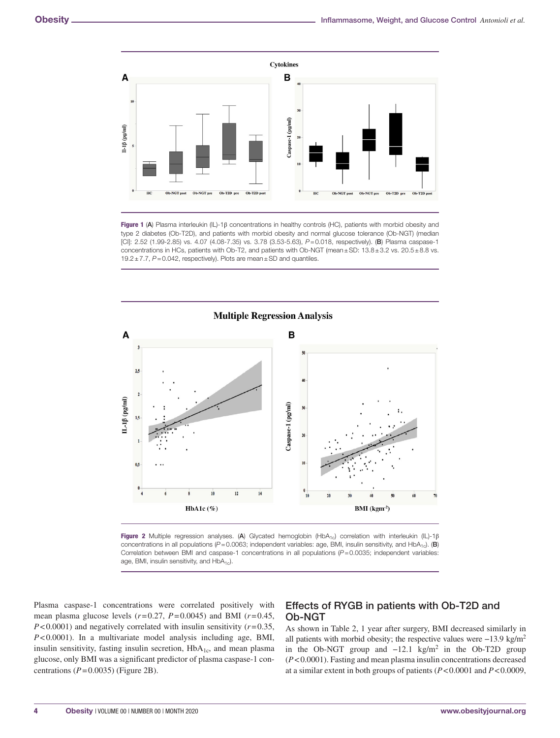

Figure 1 (A) Plasma interleukin (IL)-1β concentrations in healthy controls (HC), patients with morbid obesity and type 2 diabetes (Ob-T2D), and patients with morbid obesity and normal glucose tolerance (Ob-NGT) (median [CI]: 2.52 (1.99-2.85) vs. 4.07 (4.08-7.35) vs. 3.78 (3.53-5.63), *P*=0.018, respectively). (B) Plasma caspase-1 concentrations in HCs, patients with Ob-T2, and patients with Ob-NGT (mean±SD: 13.8±3.2 vs. 20.5±8.8 vs. 19.2±7.7, *P*=0.042, respectively). Plots are mean±SD and quantiles.



Figure 2 Multiple regression analyses. (A) Glycated hemoglobin (HbA<sub>1c</sub>) correlation with interleukin (IL)-1 $\beta$ concentrations in all populations ( $P$ =0.0063; independent variables: age, BMI, insulin sensitivity, and HbA<sub>1c</sub>). (B) Correlation between BMI and caspase-1 concentrations in all populations (*P*=0.0035; independent variables: age, BMI, insulin sensitivity, and  $HbA_{1c}$ ).

Plasma caspase-1 concentrations were correlated positively with mean plasma glucose levels (*r*=0.27, *P*=0.0045) and BMI (*r*=0.45, *P*<0.0001) and negatively correlated with insulin sensitivity (*r*=0.35, *P*<0.0001). In a multivariate model analysis including age, BMI, insulin sensitivity, fasting insulin secretion,  $HbA_{1c}$ , and mean plasma glucose, only BMI was a significant predictor of plasma caspase-1 concentrations  $(P=0.0035)$  (Figure 2B).

## Effects of RYGB in patients with Ob-T2D and Ob-NGT

As shown in Table 2, 1 year after surgery, BMI decreased similarly in all patients with morbid obesity; the respective values were  $-13.9 \text{ kg/m}^2$ in the Ob-NGT group and  $-12.1 \text{ kg/m}^2$  in the Ob-T2D group (*P*<0.0001). Fasting and mean plasma insulin concentrations decreased at a similar extent in both groups of patients (*P*<0.0001 and *P*<0.0009,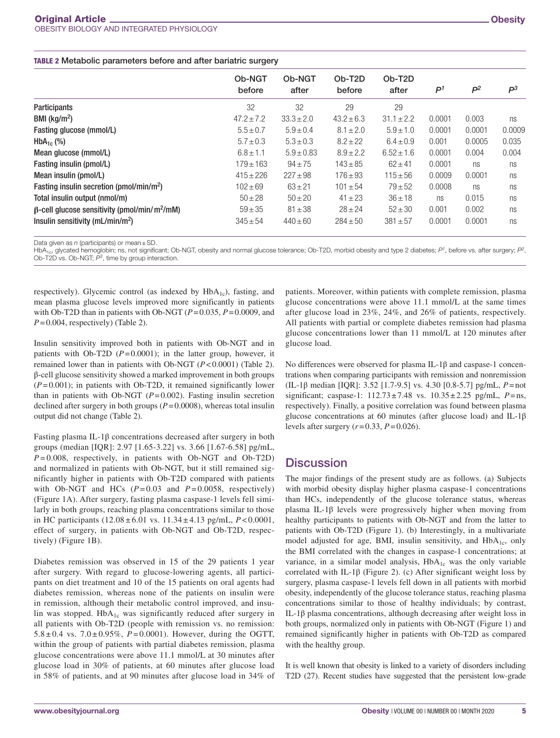| Ob-NGT<br>before | Ob-NGT<br>after | Ob-T <sub>2</sub> D<br>before | Ob-T <sub>2</sub> D<br>after | P <sup>1</sup> | $P^2$  | $P^3$  |
|------------------|-----------------|-------------------------------|------------------------------|----------------|--------|--------|
| 32               | 32              | 29                            | 29                           |                |        |        |
| $47.2 + 7.2$     | $33.3 + 2.0$    | $43.2 + 6.3$                  | $31.1 \pm 2.2$               | 0.0001         | 0.003  | ns     |
| $5.5 \pm 0.7$    | $5.9 \pm 0.4$   | $8.1 \pm 2.0$                 | $5.9 \pm 1.0$                | 0.0001         | 0.0001 | 0.0009 |
| $5.7 \pm 0.3$    | $5.3 \pm 0.3$   | $8.2 \pm 22$                  | $6.4 \pm 0.9$                | 0.001          | 0.0005 | 0.035  |
| $6.8 \pm 1.1$    | $5.9 \pm 0.83$  | $8.9 + 2.2$                   | $6.52 \pm 1.6$               | 0.0001         | 0.004  | 0.004  |
| $179 \pm 163$    | $94 \pm 75$     | $143 \pm 85$                  | $62 + 41$                    | 0.0001         | ns     | ns     |
| $415 + 226$      | $227 + 98$      | $176 + 93$                    | $115 + 56$                   | 0.0009         | 0.0001 | ns     |
| $102 + 69$       | $63 + 21$       | $101 \pm 54$                  | $79 + 52$                    | 0.0008         | ns     | ns     |
| $50 + 28$        | $50 \pm 20$     | $41 \pm 23$                   | $36 \pm 18$                  | ns             | 0.015  | ns     |
| $59 \pm 35$      | $81 \pm 38$     | $28 + 24$                     | $52 + 30$                    | 0.001          | 0.002  | ns     |
| $345 \pm 54$     | $440 \pm 60$    | $284 \pm 50$                  | $381 \pm 57$                 | 0.0001         | 0.0001 | ns     |
|                  |                 |                               |                              |                |        |        |

Data given as *n* (participants) or mean ± SD.

HbA<sub>1c</sub>, glycated hemoglobin; ns, not significant; Ob-NGT, obesity and normal glucose tolerance; Ob-T2D, morbid obesity and type 2 diabetes;  $P<sup>1</sup>$ , before vs. after surgery;  $P<sup>2</sup>$ Ob-T2D vs. Ob-NGT; *P3*, time by group interaction.

respectively). Glycemic control (as indexed by HbA<sub>1c</sub>), fasting, and mean plasma glucose levels improved more significantly in patients with Ob-T2D than in patients with Ob-NGT (*P*=0.035, *P*=0.0009, and *P*=0.004, respectively) (Table 2).

Insulin sensitivity improved both in patients with Ob-NGT and in patients with Ob-T2D (*P*=0.0001); in the latter group, however, it remained lower than in patients with Ob-NGT (*P*<0.0001) (Table 2). β-cell glucose sensitivity showed a marked improvement in both groups (*P*=0.001); in patients with Ob-T2D, it remained significantly lower than in patients with Ob-NGT  $(P=0.002)$ . Fasting insulin secretion declined after surgery in both groups  $(P=0.0008)$ , whereas total insulin output did not change (Table 2).

Fasting plasma IL-1β concentrations decreased after surgery in both groups (median [IQR]: 2.97 [1.65-3.22] vs. 3.66 [1.67-6.58] pg/mL, *P* = 0.008, respectively, in patients with Ob-NGT and Ob-T2D) and normalized in patients with Ob-NGT, but it still remained significantly higher in patients with Ob-T2D compared with patients with Ob-NGT and HCs  $(P=0.03$  and  $P=0.0058$ , respectively) (Figure 1A). After surgery, fasting plasma caspase-1 levels fell similarly in both groups, reaching plasma concentrations similar to those in HC participants (12.08 ± 6.01 vs. 11.34 ± 4.13 pg/mL, *P* < 0.0001, effect of surgery, in patients with Ob-NGT and Ob-T2D, respectively) (Figure 1B).

Diabetes remission was observed in 15 of the 29 patients 1 year after surgery. With regard to glucose-lowering agents, all participants on diet treatment and 10 of the 15 patients on oral agents had diabetes remission, whereas none of the patients on insulin were in remission, although their metabolic control improved, and insulin was stopped.  $HbA_{1c}$  was significantly reduced after surgery in all patients with Ob-T2D (people with remission vs. no remission: 5.8  $\pm$  0.4 vs. 7.0  $\pm$  0.95%, *P* = 0.0001). However, during the OGTT, within the group of patients with partial diabetes remission, plasma glucose concentrations were above 11.1 mmol/L at 30 minutes after glucose load in 30% of patients, at 60 minutes after glucose load in 58% of patients, and at 90 minutes after glucose load in 34% of

patients. Moreover, within patients with complete remission, plasma glucose concentrations were above 11.1 mmol/L at the same times after glucose load in 23%, 24%, and 26% of patients, respectively. All patients with partial or complete diabetes remission had plasma glucose concentrations lower than 11 mmol/L at 120 minutes after glucose load.

No differences were observed for plasma IL-1β and caspase-1 concentrations when comparing participants with remission and nonremission (IL-1β median [IQR]: 3.52 [1.7-9.5] vs. 4.30 [0.8-5.7] pg/mL, *P*=not significant; caspase-1: 112.73±7.48 vs. 10.35±2.25 pg/mL, *P*=ns, respectively). Finally, a positive correlation was found between plasma glucose concentrations at 60 minutes (after glucose load) and IL-1β levels after surgery (*r*=0.33, *P*=0.026).

## **Discussion**

The major findings of the present study are as follows. (a) Subjects with morbid obesity display higher plasma caspase-1 concentrations than HCs, independently of the glucose tolerance status, whereas plasma IL-1β levels were progressively higher when moving from healthy participants to patients with Ob-NGT and from the latter to patients with Ob-T2D (Figure 1). (b) Interestingly, in a multivariate model adjusted for age, BMI, insulin sensitivity, and  $HbA<sub>1c</sub>$ , only the BMI correlated with the changes in caspase-1 concentrations; at variance, in a similar model analysis, HbA<sub>1c</sub> was the only variable correlated with IL-1 $\beta$  (Figure 2). (c) After significant weight loss by surgery, plasma caspase-1 levels fell down in all patients with morbid obesity, independently of the glucose tolerance status, reaching plasma concentrations similar to those of healthy individuals; by contrast, IL-1β plasma concentrations, although decreasing after weight loss in both groups, normalized only in patients with Ob-NGT (Figure 1) and remained significantly higher in patients with Ob-T2D as compared with the healthy group.

It is well known that obesity is linked to a variety of disorders including T2D (27). Recent studies have suggested that the persistent low-grade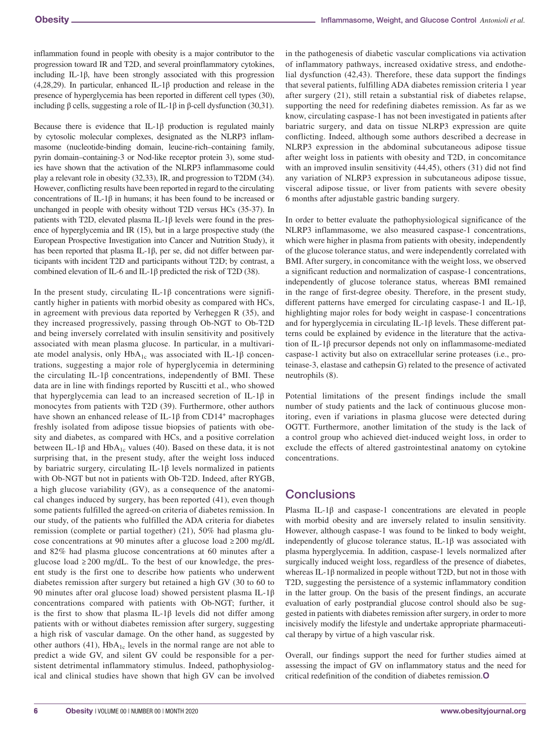inflammation found in people with obesity is a major contributor to the progression toward IR and T2D, and several proinflammatory cytokines, including IL-1β, have been strongly associated with this progression (4,28,29). In particular, enhanced IL-1β production and release in the presence of hyperglycemia has been reported in different cell types (30), including β cells, suggesting a role of IL-1β in β-cell dysfunction (30,31).

Because there is evidence that IL-1 $\beta$  production is regulated mainly by cytosolic molecular complexes, designated as the NLRP3 inflammasome (nucleotide-binding domain, leucine-rich–containing family, pyrin domain–containing-3 or Nod-like receptor protein 3), some studies have shown that the activation of the NLRP3 inflammasome could play a relevant role in obesity (32,33), IR, and progression to T2DM (34). However, conflicting results have been reported in regard to the circulating concentrations of IL-1 $\beta$  in humans; it has been found to be increased or unchanged in people with obesity without T2D versus HCs (35-37). In patients with T2D, elevated plasma IL-1β levels were found in the presence of hyperglycemia and IR (15), but in a large prospective study (the European Prospective Investigation into Cancer and Nutrition Study), it has been reported that plasma IL-1β, per se, did not differ between participants with incident T2D and participants without T2D; by contrast, a combined elevation of IL-6 and IL-1β predicted the risk of T2D (38).

In the present study, circulating IL-1 $\beta$  concentrations were significantly higher in patients with morbid obesity as compared with HCs, in agreement with previous data reported by Verheggen R (35), and they increased progressively, passing through Ob-NGT to Ob-T2D and being inversely correlated with insulin sensitivity and positively associated with mean plasma glucose. In particular, in a multivariate model analysis, only  $HbA_{1c}$  was associated with IL-1 $\beta$  concentrations, suggesting a major role of hyperglycemia in determining the circulating IL-1 $\beta$  concentrations, independently of BMI. These data are in line with findings reported by Ruscitti et al., who showed that hyperglycemia can lead to an increased secretion of IL-1β in monocytes from patients with T2D (39). Furthermore, other authors have shown an enhanced release of IL-1 $\beta$  from CD14<sup>+</sup> macrophages freshly isolated from adipose tissue biopsies of patients with obesity and diabetes, as compared with HCs, and a positive correlation between IL-1 $\beta$  and HbA<sub>1c</sub> values (40). Based on these data, it is not surprising that, in the present study, after the weight loss induced by bariatric surgery, circulating IL-1β levels normalized in patients with Ob-NGT but not in patients with Ob-T2D. Indeed, after RYGB, a high glucose variability (GV), as a consequence of the anatomical changes induced by surgery, has been reported (41), even though some patients fulfilled the agreed-on criteria of diabetes remission. In our study, of the patients who fulfilled the ADA criteria for diabetes remission (complete or partial together) (21), 50% had plasma glucose concentrations at 90 minutes after a glucose load ≥ 200 mg/dL and 82% had plasma glucose concentrations at 60 minutes after a glucose load ≥ 200 mg/dL. To the best of our knowledge, the present study is the first one to describe how patients who underwent diabetes remission after surgery but retained a high GV (30 to 60 to 90 minutes after oral glucose load) showed persistent plasma IL-1β concentrations compared with patients with Ob-NGT; further, it is the first to show that plasma IL-1 $\beta$  levels did not differ among patients with or without diabetes remission after surgery, suggesting a high risk of vascular damage. On the other hand, as suggested by other authors (41),  $HbA_{1c}$  levels in the normal range are not able to predict a wide GV, and silent GV could be responsible for a persistent detrimental inflammatory stimulus. Indeed, pathophysiological and clinical studies have shown that high GV can be involved

in the pathogenesis of diabetic vascular complications via activation of inflammatory pathways, increased oxidative stress, and endothelial dysfunction (42,43). Therefore, these data support the findings that several patients, fulfilling ADA diabetes remission criteria 1 year after surgery (21), still retain a substantial risk of diabetes relapse, supporting the need for redefining diabetes remission. As far as we know, circulating caspase-1 has not been investigated in patients after bariatric surgery, and data on tissue NLRP3 expression are quite conflicting. Indeed, although some authors described a decrease in NLRP3 expression in the abdominal subcutaneous adipose tissue after weight loss in patients with obesity and T2D, in concomitance with an improved insulin sensitivity (44,45), others (31) did not find any variation of NLRP3 expression in subcutaneous adipose tissue, visceral adipose tissue, or liver from patients with severe obesity 6 months after adjustable gastric banding surgery.

In order to better evaluate the pathophysiological significance of the NLRP3 inflammasome, we also measured caspase-1 concentrations, which were higher in plasma from patients with obesity, independently of the glucose tolerance status, and were independently correlated with BMI. After surgery, in concomitance with the weight loss, we observed a significant reduction and normalization of caspase-1 concentrations, independently of glucose tolerance status, whereas BMI remained in the range of first-degree obesity. Therefore, in the present study, different patterns have emerged for circulating caspase-1 and IL-1β, highlighting major roles for body weight in caspase-1 concentrations and for hyperglycemia in circulating IL-1β levels. These different patterns could be explained by evidence in the literature that the activation of IL-1β precursor depends not only on inflammasome-mediated caspase-1 activity but also on extracellular serine proteases (i.e., proteinase-3, elastase and cathepsin G) related to the presence of activated neutrophils (8).

Potential limitations of the present findings include the small number of study patients and the lack of continuous glucose monitoring, even if variations in plasma glucose were detected during OGTT. Furthermore, another limitation of the study is the lack of a control group who achieved diet-induced weight loss, in order to exclude the effects of altered gastrointestinal anatomy on cytokine concentrations.

# **Conclusions**

Plasma IL-1β and caspase-1 concentrations are elevated in people with morbid obesity and are inversely related to insulin sensitivity. However, although caspase-1 was found to be linked to body weight, independently of glucose tolerance status, IL-1β was associated with plasma hyperglycemia. In addition, caspase-1 levels normalized after surgically induced weight loss, regardless of the presence of diabetes, whereas IL-1β normalized in people without T2D, but not in those with T2D, suggesting the persistence of a systemic inflammatory condition in the latter group. On the basis of the present findings, an accurate evaluation of early postprandial glucose control should also be suggested in patients with diabetes remission after surgery, in order to more incisively modify the lifestyle and undertake appropriate pharmaceutical therapy by virtue of a high vascular risk.

Overall, our findings support the need for further studies aimed at assessing the impact of GV on inflammatory status and the need for critical redefinition of the condition of diabetes remission.**O**